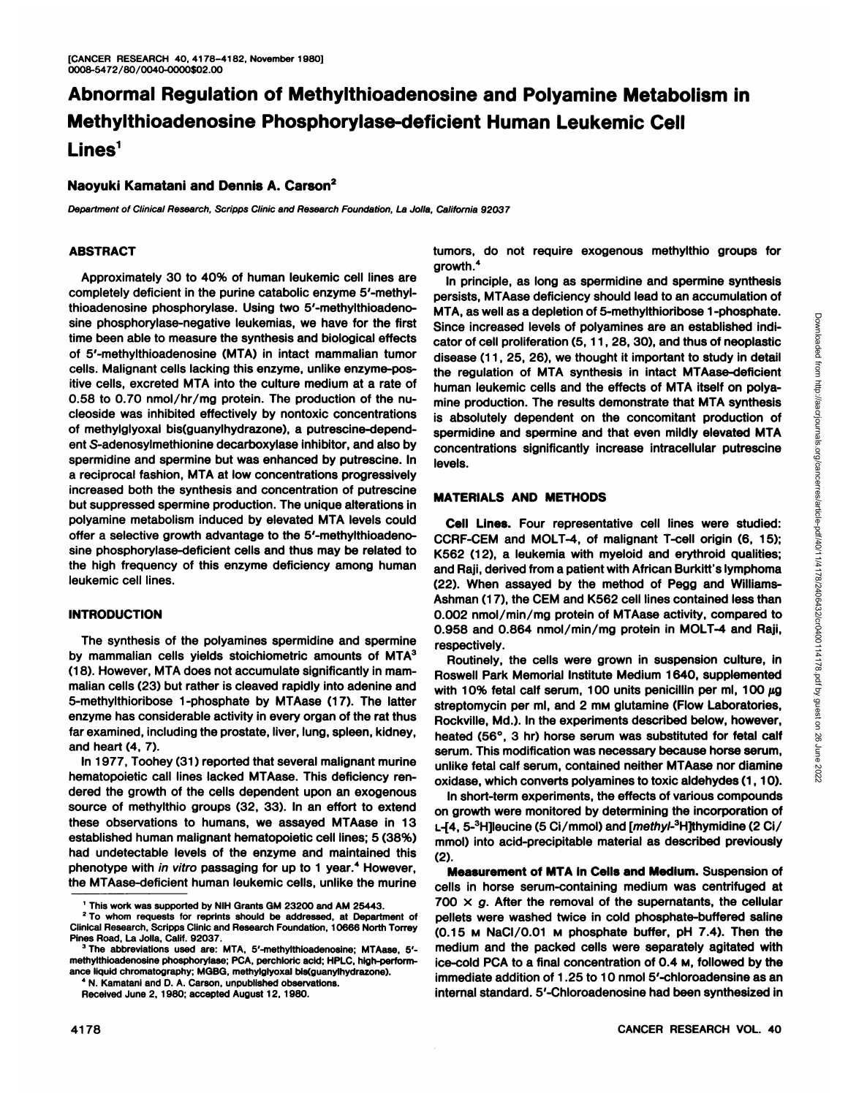# **Abnormal Regulation of Methylthioadenosine and Polyamine Metabolism in Methylthioadenosine Phosphorylase-deficient Human Leukemic Cell** Lines<sup>1</sup>

# **Naoyuki Kamatani and Dennis A. Carson2**

Department of Clinical Research, Scripps Clinic and Research Foundation, La Jolla, California 92037

#### **ABSTRACT**

Approximately 30 to 40% of human leukemic cell lines are completely deficient in the purine catabolic enzyme 5'-methylthioadenosine phosphorylase. Using two 5'-methylthioadenosine phosphorylase-negative leukemias, we have for the first time been able to measure the synthesis and biological effects of 5'-methylthioadenosine (MTA) in intact mammalian tumor cells. Malignant cells lacking this enzyme, unlike enzyme-pos itive cells, excreted MTA into the culture medium at a rate of 0.58 to 0.70 nmol/hr/mg protein. The production of the nucleoside was inhibited effectively by nontoxic concentrations of methylglyoxal bis(guanylhydrazone), a putrescine-dependent S-adenosylmethionine decarboxylase inhibitor, and also by spermidine and spermine but was enhanced by putrescine. In a reciprocal fashion, MTA at low concentrations progressively increased both the synthesis and concentration of putrescine but suppressed spermine production. The unique alterations in polyamine metabolism induced by elevated MTA levels could offer a selective growth advantage to the 5'-methylthioadenosine phosphorylase-deficient cells and thus may be related to the high frequency of this enzyme deficiency among human and Raji, derived from a patient with African Burkitt's lymphoma leukemic cell lines.

#### **INTRODUCTION**

The synthesis of the polyamines spermidine and spermine by mammalian cells yields stoichiometric amounts of MTA<sup>3</sup> (18). However, MTA does not accumulate significantly in mam malian cells (23) but rather is cleaved rapidly into adenine and 5-methylthioribose 1-phosphate by MTAase (17). The latter enzyme has considerable activity in every organ of the rat thus far examined, including the prostate, liver, lung, spleen, kidney, and heart (4, 7).

In 1977, Toohey (31 ) reported that several malignant murine hematopoietic call lines lacked MTAase. This deficiency ren dered the growth of the cells dependent upon an exogenous source of methylthio groups (32, 33). In an effort to extend these observations to humans, we assayed MTAase in 13 established human malignant hematopoietic cell lines; 5 (38%) had undetectable levels of the enzyme and maintained this phenotype with in vitro passaging for up to 1 year.<sup>4</sup> However, the MTAase-deficient human leukemic cells, unlike the murine

tumors, do not require exogenous methylthio groups for growth.4

In principle, as long as spermidine and spermine synthesis persists, MTAase deficiency should lead to an accumulation of MTA, as well as a depletion of 5-methylthioribose 1-phosphate. Since increased levels of polyamines are an established indi many as well as the presentation of the methanolic or the same in the cell proliferation (5, 11, 28, 30), and thus of neoplastical diseases (11, 26, 26), we though it important to study in detail<br>the regulation of MTA syn disease (11, 25, 26), we thought it important to study in detail the regulation of MTA synthesis in intact MTAase-deficient human leukemic cells and the effects of MTA itself on polya mine production. The results demonstrate that MTA synthesis is absolutely dependent on the concomitant production of spermidine and spermine and that even mildly elevated MTA concentrations significantly increase intracellular putrescine levels.

#### **MATERIALS AND METHODS**

**Cell Lines. Four representative cell lines were studied:** CCRF-CEM and MOLT-4, of malignant T-cell origin (6, 15); K562 (12), a leukemia with myeloid and erythroid qualities; (22). When assayed by the method of Pegg and Williams-Ashman (17), the CEM and K562 cell lines contained less than 0.002 nmol/min/mg protein of MTAase activity, compared to 0.958 and 0.864 nmol/min/mg protein in MOLT-4 and Raji, respectively.

Routinely, the cells were grown in suspension culture, in Roswell Park Memorial Institute Medium 1640, supplemented with 10% fetal calf serum, 100 units penicillin per ml, 100  $\mu$ g streptomycin per ml, and 2 mm glutamine (Flow Laboratories, Rock viIle, Md.). In the experiments described below, however, heated (56°, 3 hr) horse serum was substituted for fetal calf serum. This modification was necessary because horse serum, unlike fetal calf serum, contained neither MTAase nor diamine oxidase, which converts polyamines to toxic aldehydes (1,10).

In short-term experiments, the effects of various compounds on growth were monitored by determining the incorporation of L-[4, 5-<sup>3</sup>H]leucine (5 Ci/mmol) and [*methyl*-<sup>3</sup>H]thymidine (2 Ci/ mmol) into acid-precipitable material as described previously (2).

**Measurement of MTA in Cells and Medium. Suspension of** cells in horse serum-containing medium was centrifuged at 700  $\times$  g. After the removal of the supernatants, the cellular pellets were washed twice in cold phosphate-buffered saline (0.15 M NaCI/0.01 M phosphate buffer, pH 7.4). Then the medium and the packed cells were separately agitated with ice-cold PCA to a final concentration of 0.4 M, followed by the immediate addition of 1.25 to 10 nmol 5'-chloroadensine as an internal standard. 5'-Chloroadenosine had been synthesized in

<sup>&#</sup>x27; This work was supported by NIH Grants GM 23200 and AM 25443.

<sup>&</sup>lt;sup>2</sup> To whom requests for reprints should be addressed, at Department of Clinical Research, Scripps Clinic and Research Foundation, 10666 North Torrey Pines Road, La Jolla, Calif. 92037.

<sup>3</sup> The abbreviations used are: MTA, 5'-methylthioadenosine; MTAase, 5' methylthioadenosine phosphorylase; PCA, perchloric acid; HPLC, high-perform ance liquid chromatography; MGBG, methylglyoxal bis(guanylhydrazone). " N. Kamatani and D. A. Carson, unpublished observations.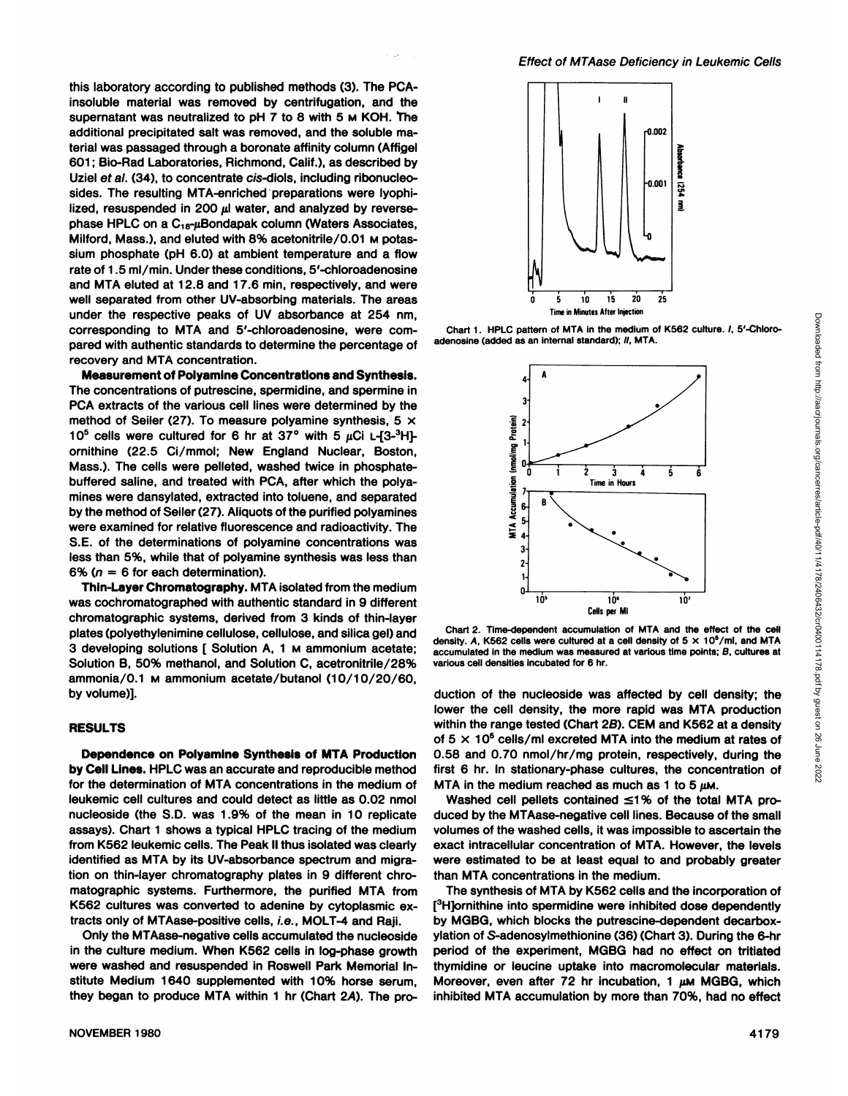Chart 1. HPLC pattern of MTA in the medium of K562 culture. /, 5'-Chloro-

this laboratory according to published methods (3). The PCAinsoluble material was removed by centrifugation, and the supernatant was neutralized to pH 7 to 8 with 5 M KOH. The additional precipitated salt was removed, and the soluble ma terial was passaged through a boronate affinity column (Affigel 601 ; Bio-Rad Laboratories, Richmond, Calif.), as described by Uziel et al. (34), to concentrate cis-diols, including ribonucleosides. The resulting MTA-enriched preparations were lyophilized, resuspended in 200  $\mu$  water, and analyzed by reversephase HPLC on a  $C_{18}$ -µBondapak column (Waters Associates, Milford, Mass.), and eluted with 8% acetonitrile/0.01 M potas sium phosphate (pH 6.0) at ambient temperature and a flow rate of 1.5 ml/min. Under these conditions, 5'-chloroadenosine and MTA eluted at 12.8 and 17.6 min, respectively, and were well separated from other UV-absorbing materials. The areas under the respective peaks of UV absorbance at 254 nm, corresponding to MTA and 5'-chloroadenosine, were com pared with authentic standards to determine the percentage of recovery and MTA concentration.

**Measurement of Polyamine Concentrations and Synthesis.** The concentrations of putrescine, spermidine, and spermine in PCA extracts of the various cell lines were determined by the method of Seiler (27). To measure polyamine synthesis, 5  $\times$  10<sup>5</sup> cells were cultured for 6 hr at 37° with 5  $\mu$ Ci L-[3-<sup>3</sup>H]ornithine (22.5 Ci/mmol; New England Nuclear, Boston, Mass.). The cells were pelleted, washed twice in phosphatebuffered saline, and treated with PCA, after which the polyamines were dansylated, extracted into toluene, and separated by the method of Seiler (27). Aliquots of the purified polyamines were examined for relative fluorescence and radioactivity. The S.E. of the determinations of polyamine concentrations was less than 5%, while that of polyamine synthesis was less than 6% ( $n = 6$  for each determination).

**Thin-Layer Chromatography. MTA isolated from the medium** was cochromatographed with authentic standard in 9 different Chromatographie systems, derived from 3 kinds of thin-layer plates (polyethylenimine cellulose, cellulose, and silica gel) and 3 developing solutions [ Solution A, 1 M ammonium acetate; Solution B, 50% methanol, and Solution C, acetronitrile/28% ammonia/0.1 M ammonium acetate/butanol (10/10/20/60, by volume)].

#### **RESULTS**

**Dependence on Polyamine Synthesis ofMTA Production by CellLines. HPLC was an accurate and reproducible method** for the determination of MTA concentrations in the medium of leukemic cell cultures and could detect as little as 0.02 nmol nucleoside (the S.D. was 1.9% of the mean in 10 replicate assays). Chart 1 shows a typical HPLC tracing of the medium from K562 leukemic cells. The Peak II thus isolated was clearly identified as MTA by its UV-absorbance spectrum and migra tion on thin-layer Chromatography plates in 9 different Chro matographie systems. Furthermore, the purified MTA from K562 cultures was converted to adenine by cytoplasmic ex tracts only of MTAase-positive cells, i.e., MOLT-4 and Raji.

Only the MTAase-negative cells accumulated the nucleoside in the culture medium. When K562 cells in log-phase growth were washed and resuspended in Roswell Park Memorial In stitute Medium 1640 supplemented with 10% horse serum, they began to produce MTA within 1 hr (Chart 2A). The pro-





adenosine (added as an internal standard); II, MTA.

Chart 2. Time-dependent accumulation of MTA and the effect of the cell accumulated in the medium was measured at various time points; B, cultures at various cell densities incubated for 6 hr.

Cells per Ml 10'

10' 10'

 $\mathbf{I}$  $\mathbf{0}$ 

duction of the nucleoside was affected by cell density; the lower the cell density, the more rapid was MTA production within the range tested (Chart 2B). CEM and K562 at a density of  $5 \times 10^5$  cells/ml excreted MTA into the medium at rates of 0.58 and 0.70 nmol/hr/mg protein, respectively, during the first 6 hr. In stationary-phase cultures, the concentration of MTA in the medium reached as much as 1 to 5  $\mu$ M.

Washed cell pellets contained  $\leq$ 1% of the total MTA produced by the MTAase-negative cell lines. Because of the small volumes of the washed cells, it was impossible to ascertain the exact intracellular concentration of MTA. However, the levels were estimated to be at least equal to and probably greater than MTA concentrations in the medium.

The synthesis of MTA by K562 cells and the incorporation of [<sup>3</sup>H]ornithine into spermidine were inhibited dose dependently by MGBG, which blocks the putrescine-dependent decarboxylation of S-adenosylmethionine (36) (Chart 3). During the 6-hr period of the experiment, MGBG had no effect on tritiated thymidine or leucine uptake into macromolecular materials. Moreover, even after 72 hr incubation, 1  $\mu$ M MGBG, which inhibited MTA accumulation by more than 70%, had no effect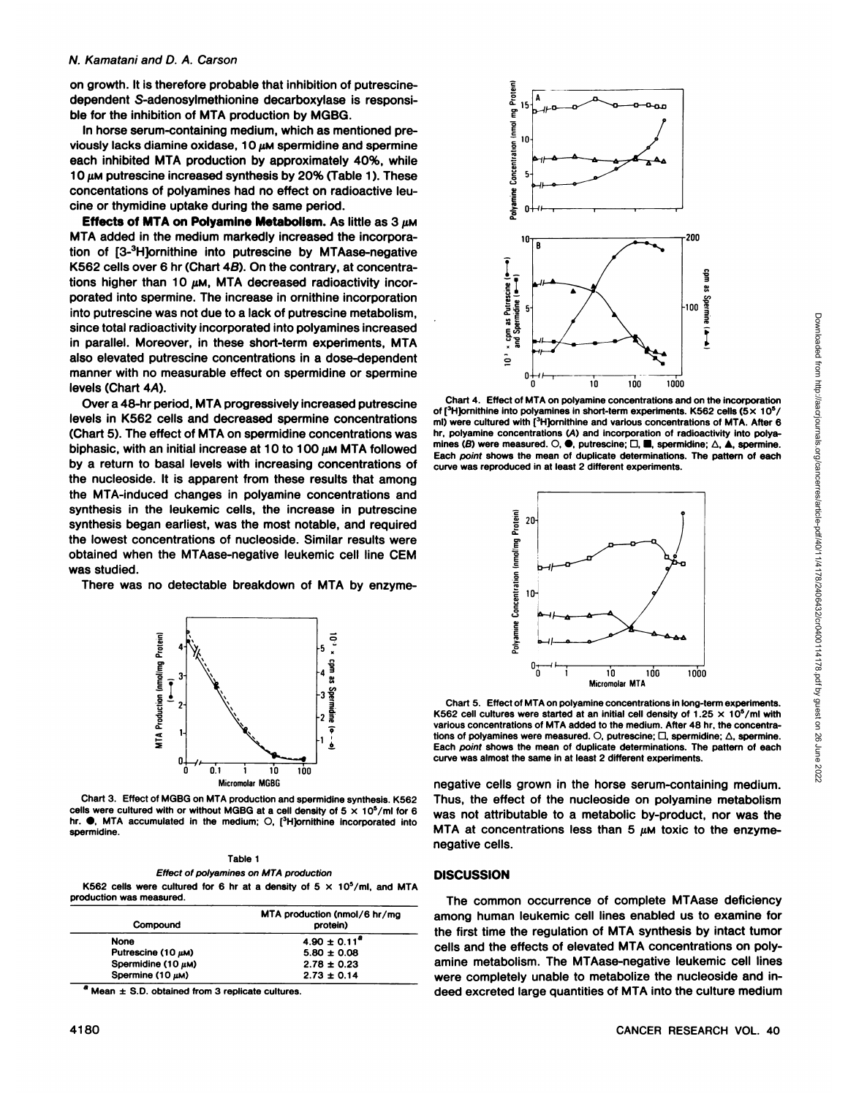### N. Kamatani and D. A. Carson

on growth. It is therefore probable that inhibition of putrescinedependent S-adenosylmethionine decarboxylase is responsi ble for the inhibition of MTA production by MGBG.

In horse serum-containing medium, which as mentioned pre viously lacks diamine oxidase, 10  $\mu$ M spermidine and spermine each inhibited MTA production by approximately 40%, while 10  $\mu$ M putrescine increased synthesis by 20% (Table 1). These concentations of polyamines had no effect on radioactive leucine or thymidine uptake during the same period.

**Effects of MTA on Polyamine Metabolism. As little as 3 /IM** MTA added in the medium markedly increased the incorpora tion of [3-3H]ornithine into putrescine by MTAase-negative K562 cells over 6 hr (Chart 4B). On the contrary, at concentra tions higher than 10  $µ$ M, MTA decreased radioactivity incorporated into spermine. The increase in ornithine incorporation into putrescine was not due to a lack of putrescine metabolism, since total radioactivity incorporated into polyamines increased in parallel. Moreover, in these short-term experiments, MTA also elevated putrescine concentrations in a dose-dependent manner with no measurable effect on spermidine or spermine levels (Chart 4A).

Over a 48-hr period, MTA progressively increased putrescine levels in K562 cells and decreased spermine concentrations (Chart 5). The effect of MTA on spermidine concentrations was biphasic, with an initial increase at 10 to 100  $\mu$ MMTA followed by a return to basal levels with increasing concentrations of the nucleoside. It is apparent from these results that among the MTA-induced changes in polyamine concentrations and synthesis in the leukemic cells, the increase in putrescine synthesis began earliest, was the most notable, and required the lowest concentrations of nucleoside. Similar results were obtained when the MTAase-negative leukemic cell line CEM was studied.

There was no detectable breakdown of MTA by enzyme-



Chart 3. Effect of MGBG on MTA production and spermidine synthesis. K562 cells were cultured with or without MGBG at a cell density of  $5 \times 10^5/\text{mi}$  for 6 hr.  $\bullet$ , MTA accumulated in the medium; O, [ ${}^{3}$ H]ornithine incorporated into spermidine.

Table 1 Effect of polyamines on MTA production

K562 cells were cultured for 6 hr at a density of  $5 \times 10^5$ /ml, and MTA production was measured.

| Compound                | MTA production (nmol/6 hr/mg)<br>protein) |
|-------------------------|-------------------------------------------|
| None                    | $4.90 \pm 0.11^{\circ}$                   |
| Putrescine (10 $\mu$ M) | $5.80 \pm 0.08$                           |
| Spermidine (10 $\mu$ M) | $2.78 \pm 0.23$                           |
| Spermine (10 µM)        | $2.73 \pm 0.14$                           |

 $^a$  Mean  $\pm$  S.D. obtained from 3 replicate cultures.



Chart 4. Effect of MTA on polyamine concentrations and on the incorporation of [ $3$ H]ornithine into polyamines in short-term experiments. K562 cells (5 $\times$  10 $^5$ / hr, polyamine concentrations (A) and incorporation of radioactivity into polyamines (B) were measured.  $\bigcirc$ ,  $\bigcirc$ , putrescine;  $\square$ , spermidine;  $\triangle$ ,  $\blacktriangle$ , spermine. Each point shows the mean of duplicate determinations. The pattern of each curve was reproduced in at least 2 different experiments.



Chart 5. Effect of MTA on polyamine concentrations in long-term experiments. K562 cell cultures were started at an initial cell density of 1.25  $\times$  10<sup>5</sup>/ml with various concentrations of MTA added to the medium. After 48 hr. the concentra tions of polyamines were measured.  $\bigcirc$ , putrescine;  $\bigcirc$ , spermidine;  $\bigtriangleup$ , spermine. Each point shows the mean of duplicate determinations. The pattern of each curve was almost the same in at least 2 different experiments.

negative cells grown in the horse serum-containing medium. Thus, the effect of the nucleoside on polyamine metabolism was not attributable to a metabolic by-product, nor was the MTA at concentrations less than 5  $\mu$ M toxic to the enzymenegative cells.

#### **DISCUSSION**

The common occurrence of complete MTAase deficiency among human leukemic cell lines enabled us to examine for the first time the regulation of MTA synthesis by intact tumor cells and the effects of elevated MTA concentrations on poly amine metabolism. The MTAase-negative leukemic cell lines were completely unable to metabolize the nucleoside and in deed excreted large quantities of MTA into the culture medium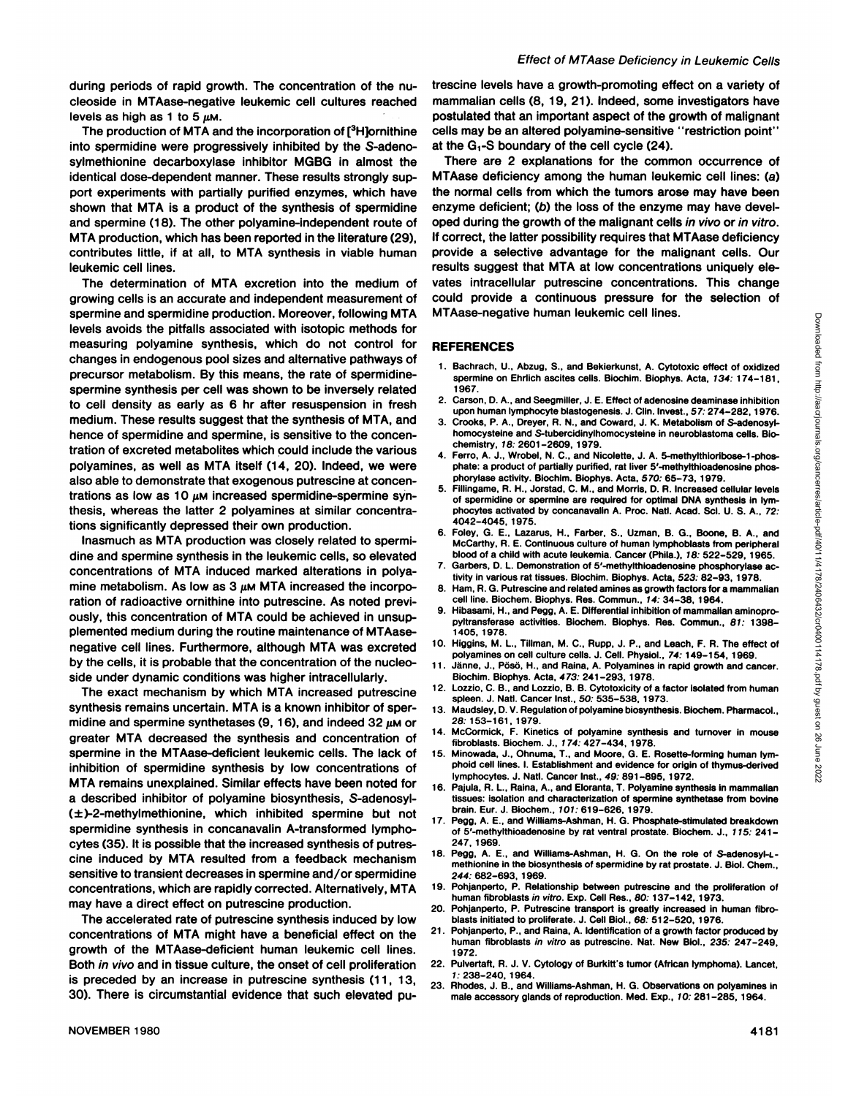during periods of rapid growth. The concentration of the nucleoside in MTAase-negative leukemic cell cultures reached

into spermidine were progressively inhibited by the S-adenosylmethionine decarboxylase inhibitor MGBG in almost the identical dose-dependent manner. These results strongly sup port experiments with partially purified enzymes, which have shown that MTA is a product of the synthesis of spermidine and spermine (18). The other polyamine-independent route of MTA production, which has been reported in the literature (29), contributes little, if at all, to MTA synthesis in viable human leukemic cell lines.

The determination of MTA excretion into the medium of growing cells is an accurate and independent measurement of spermine and spermidine production. Moreover, following MTA levels avoids the pitfalls associated with isotopie methods for measuring polyamine synthesis, which do not control for changes in endogenous pool sizes and alternative pathways of precursor metabolism. By this means, the rate of spermidinespermine synthesis per cell was shown to be inversely related to cell density as early as 6 hr after resuspension in fresh medium. These results suggest that the synthesis of MTA, and hence of spermidine and spermine, is sensitive to the concen tration of excreted metabolites which could include the various  $\frac{4}{3}$ polyamines, as well as MTA itself (14, 20). Indeed, we were also able to demonstrate that exogenous putrescine at concen trations as low as 10  $\mu$ M increased spermidine-spermine synthesis, whereas the latter 2 polyamines at similar concentra tions significantly depressed their own production.

Inasmuch as MTA production was closely related to spermi dine and spermine synthesis in the leukemic cells, so elevated<br>
accessoriation of MTA induced marked alterations in pattern 7. concentrations of MTA induced marked alterations in polya mine metabolism. As low as 3  $\mu$ m MTA increased the incorpo-  $8$ . ration of radioactive ornithine into putrescine. As noted previ ously, this concentration of MTA could be achieved in unsupplemented medium during the routine maintenance of MTAasenegative cell lines. Furthermore, although MTA was excreted by the cells, it is probable that the concentration of the nucleoside under dynamic conditions was higher intracellularly.

The exact mechanism by which MTA increased putrescine synthesis remains uncertain. MTA is a known inhibitor of sper- $_{13}$ . midine and spermine synthetases  $(9, 16)$ , and indeed  $32 \mu$ M or greater MTA decreased the synthesis and concentration of spermine in the MTAase-deficient leukemic cells. The lack of inhibition of spermidine synthesis by low concentrations of MTA remains unexplained. Similar effects have been noted for a described inhibitor of polyamine biosynthesis, S-adenosyl- (±)-2-methylmethionine, which inhibited spermine but not spermidine synthesis in concanavalin A-transformed lympho cytes (35). It is possible that the increased synthesis of putres cine induced by MTA resulted from a feedback mechanism sensitive to transient decreases in spermine and/or spermidine concentrations, which are rapidly corrected. Alternatively, MTA may have a direct effect on putrescine production.

The accelerated rate of putrescine synthesis induced by low concentrations of MTA might have a beneficial effect on the  $21$ . growth of the MTAase-deficient human leukemic cell lines. Both *in vivo* and in tissue culture, the onset of cell proliferation 22. is preceded by an increase in putrescine synthesis  $(11, 13, 23)$ 30). There is circumstantial evidence that such elevated pu

levels as high as 1 to 5  $\mu$ m.<br>The production of MTA and the incorporation of [<sup>3</sup>H]ornithine cells may be an altered polyamine-sensitive "restriction point" trescine levels have a growth-promoting effect on a variety of mammalian cells (8, 19, 21). Indeed, some investigators have postulated that an important aspect of the growth of malignant at the  $G_1$ -S boundary of the cell cycle (24).

> There are 2 explanations for the common occurrence of MTAase deficiency among the human leukemic cell lines: (a) the normal cells from which the tumors arose may have been enzyme deficient; (b) the loss of the enzyme may have developed during the growth of the malignant cells in vivo or in vitro. If correct, the latter possibility requires that MTAase deficiency provide a selective advantage for the malignant cells. Our results suggest that MTA at low concentrations uniquely ele vates intracellular putrescine concentrations. This change could provide a continuous pressure for the selection of MTAase-negative human leukemic cell lines.

#### **REFERENCES**

- spermine on Ehrlich ascites cells. Biochim. Biophys. Acta. 134: 174-181. 1967.
- 2. Carson, D. A., and Seegmiller, J. E. Effect of adenosine deaminase inhibition upon human lymphocyte blastogenesis. J. Clin. Invest.. 57. 274-282. 1976.
- 3. Crooks. P. A., Dreyer, R. N., and Coward, J. K. Metabolism of S-adenosylhomocysteine and S-tubercidinylhomocysteine in neuroblastoma cells. Bio chemistry, 18: 2601-2609. 1979.
- Ferro, A. J., Wrobel, N. C., and Nicolette, J. A. 5-methylthioribose-1-phosphate: a product of partially purified, rat liver S'-methylthioadenosine phosphorylase activity. Biochim. Biophys. Acta. 570. 65-73. 1979.
- 11 HABSE-Triegative fruitriari reukternic Celti lines.<br>
1. Bachrach, U., Abzug. S., and Bekierkunst, A. Cytotoxic effect of oxidized<br>
1. Bachrach, U., Abzug. S., and Bekierkunst, A. Cytotoxic effect of oxidized<br>
2. curon 5. Fillingame, R. H., Jorstad, C. M., and Morris, D. R. Increased cellular levels of spermidine or spermine are required for optimal DMA synthesis in lym phocytes activated by concanavalin A. Proc. Natl. Acad. Sci. U. S. A., 72: 4042-4045, 1975.
- 6. Foley, G. E., Lazarus, H., Farber, S., Uzman, B. G., Boone, B. A., and McCarthy, R. E. Continuous culture of human lymphoblasts from peripheral blood of a child with acute leukemia. Cancer (Phila.). 78: 522-529, 1965.
- Garbers, D. L. Demonstration of 5'-methylthioadenosine phosphorylase activity in various rat tissues. Biochim. Biophys. Acta, 523. 82-93, 1978.
- Ham, R. G. Putrescine and related amines as growth factors for a mammalian cell line. Biochem. Biophys. Res. Commun., 14: 34-38, 1964.
- Hibasami, H., and Pegg, A. E. Differential inhibition of mammalian aminopropyltransferase activities. Biochem. Biophys. Res. Commun., 81: 1398- 1405. 1978.
- 10. Higgins, M. L., Tillman, M. C., Rupp, J. P., and Leach, F. R. The effect of polyamines on cell culture cells. J. Cell. Physiol.. 74: 149-154, 1969.
- Jänne, J., Pösö, H., and Raina, A. Polyamines in rapid growth and cancer. Biochim. Biophys. Acta, 473: 241-293, 1978.
- 12. Lozzio, C. B.. and Lozzio, B. B. Cytotoxicity of a factor isolated from human spleen. J. Nati. Cancer Inst., 50: 535-538. 1973.
- 13. Maudsley. D. V. Regulation of polyamine biosynthesis. Biochem. Pharmacol., 28: 153-161, 1979.
- 14. McCormick, F. Kinetics of polyamine synthesis and turnover in mouse fibroblasts. Biochem. J., 174: 427-434, 1978.
- 15. Minowada, J., Ohnuma, T.. and Moore, G. E. Rosette-forming human lymphoid cell lines. I. Establishment and evidence for origin of thymus-derived lymphocytes. J. Nati. Cancer Inst.. 49: 891-895, 1972.
- 16. Pajula, R. L., Raina, A., and Eloranta, T. Polyamine synthesis in mammalian tissues: isolation and characterization of spermine synthetase from bovine brain. Eur. J. Biochem., 707. 619-626, 1979.
- 17. Pegg, A. E., and Williams-Ashman, H. G. Phosphate-stimulated breakdown of 5'-methylthioadenosine by rat ventral prostate. Biochem. J., 115: 241-247, 1969.
- 18. Pegg, A. E.. and Williams-Ashman, H. G. On the role of S-adenosyl-Lmethionine in the biosynthesis of spermidine by rat prostate. J. Biol. Chem., 244: 682-693, 1969.
- Pohjanperto, P. Relationship between putrescine and the proliferation of human fibroblasts in vitro. Exp. Cell Res.. 80: 137-142, 1973.
- 20. Pohjanperto. P. Putrescine transport is greatly increased in human fibro blasts initiated to proliferate. J. Cell Biol.. 66: 512-520, 1976.
- Pohjanperto, P., and Raina, A. Identification of a growth factor produced by human fibroblasts in vitro as putrescine. Nat. New Biol., 235: 247-249, 1972.<br>Pulvertaft, R. J. V. Cytology of Burkitt's tumor (African lymphoma). Lancet,
- 7: 238-240, 1964.
- Rhodes, J. B., and Williams-Ashman, H. G. Observations on polyamines in male accessory glands of reproduction. Med. Exp., 70: 281-285, 1964.